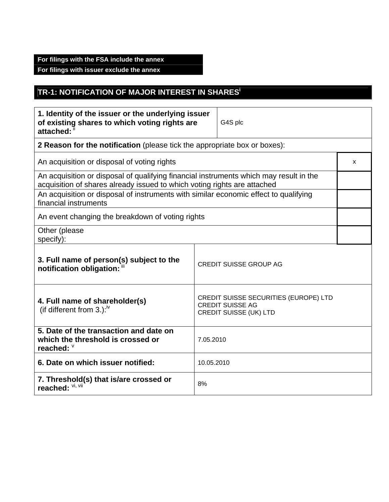## **For filings with the FSA include the annex**

**For filings with issuer exclude the annex** 

## **TR-1: NOTIFICATION OF MAJOR INTEREST IN SHARESi**

| 1. Identity of the issuer or the underlying issuer<br>of existing shares to which voting rights are<br>attached: ii                                                              |           | G4S plc                       |  |
|----------------------------------------------------------------------------------------------------------------------------------------------------------------------------------|-----------|-------------------------------|--|
| 2 Reason for the notification (please tick the appropriate box or boxes):                                                                                                        |           |                               |  |
| An acquisition or disposal of voting rights                                                                                                                                      |           |                               |  |
| An acquisition or disposal of qualifying financial instruments which may result in the<br>acquisition of shares already issued to which voting rights are attached               |           |                               |  |
| An acquisition or disposal of instruments with similar economic effect to qualifying<br>financial instruments                                                                    |           |                               |  |
| An event changing the breakdown of voting rights                                                                                                                                 |           |                               |  |
| Other (please<br>specify):                                                                                                                                                       |           |                               |  |
| 3. Full name of person(s) subject to the<br>notification obligation: "                                                                                                           |           | <b>CREDIT SUISSE GROUP AG</b> |  |
| <b>CREDIT SUISSE SECURITIES (EUROPE) LTD</b><br>4. Full name of shareholder(s)<br><b>CREDIT SUISSE AG</b><br>(if different from 3.): $\sqrt{N}$<br><b>CREDIT SUISSE (UK) LTD</b> |           |                               |  |
| 5. Date of the transaction and date on<br>which the threshold is crossed or<br>reached: $\degree$                                                                                | 7.05.2010 |                               |  |
| 6. Date on which issuer notified:<br>10.05.2010                                                                                                                                  |           |                               |  |
| 7. Threshold(s) that is/are crossed or<br>8%<br>reached: VI, VII                                                                                                                 |           |                               |  |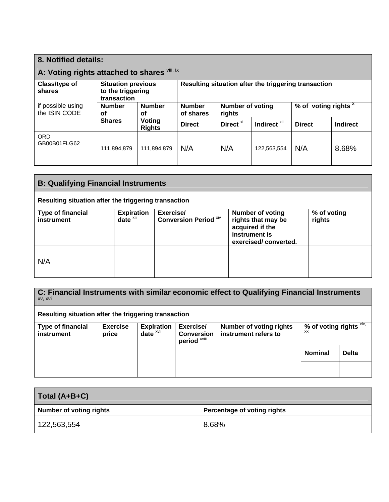| 8. Notified details:                         |                                                               |                         |                                                      |                                   |                         |                                 |          |
|----------------------------------------------|---------------------------------------------------------------|-------------------------|------------------------------------------------------|-----------------------------------|-------------------------|---------------------------------|----------|
| A: Voting rights attached to shares Vill, ix |                                                               |                         |                                                      |                                   |                         |                                 |          |
| Class/type of<br>shares                      | <b>Situation previous</b><br>to the triggering<br>transaction |                         | Resulting situation after the triggering transaction |                                   |                         |                                 |          |
| if possible using<br>the ISIN CODE           | <b>Number</b><br><b>Number</b><br>οf<br>οf                    |                         | <b>Number</b><br>of shares                           | <b>Number of voting</b><br>rights |                         | % of voting rights <sup>x</sup> |          |
|                                              | <b>Shares</b>                                                 | Voting<br><b>Rights</b> | <b>Direct</b>                                        | Direct <sup>xi</sup>              | Indirect <sup>XII</sup> | <b>Direct</b>                   | Indirect |
| <b>ORD</b><br>GB00B01FLG62                   | 111,894,879                                                   | 111,894,879             | N/A                                                  | N/A                               | 122,563,554             | N/A                             | 8.68%    |

| <b>B: Qualifying Financial Instruments</b>           |                               |                                           |                                                                                                           |                       |  |
|------------------------------------------------------|-------------------------------|-------------------------------------------|-----------------------------------------------------------------------------------------------------------|-----------------------|--|
| Resulting situation after the triggering transaction |                               |                                           |                                                                                                           |                       |  |
| <b>Type of financial</b><br>instrument               | <b>Expiration</b><br>date $x$ | Exercise/<br><b>Conversion Period Xiv</b> | <b>Number of voting</b><br>rights that may be<br>acquired if the<br>instrument is<br>exercised/converted. | % of voting<br>rights |  |
| N/A                                                  |                               |                                           |                                                                                                           |                       |  |

| C: Financial Instruments with similar economic effect to Qualifying Financial Instruments<br>XV, XVI |                          |                                                            |                                                           |                                                        |                                         |              |
|------------------------------------------------------------------------------------------------------|--------------------------|------------------------------------------------------------|-----------------------------------------------------------|--------------------------------------------------------|-----------------------------------------|--------------|
| Resulting situation after the triggering transaction                                                 |                          |                                                            |                                                           |                                                        |                                         |              |
| <b>Type of financial</b><br>instrument                                                               | <b>Exercise</b><br>price | <b>Expiration</b><br>date $x$ <sup><math>x</math>vii</sup> | Exercise/<br><b>Conversion</b><br>period <sup>xviii</sup> | <b>Number of voting rights</b><br>instrument refers to | % of voting rights $XIX$ ,<br><b>XX</b> |              |
|                                                                                                      |                          |                                                            |                                                           |                                                        | <b>Nominal</b>                          | <b>Delta</b> |
|                                                                                                      |                          |                                                            |                                                           |                                                        |                                         |              |

| Total (A+B+C)                  |                             |  |
|--------------------------------|-----------------------------|--|
| <b>Number of voting rights</b> | Percentage of voting rights |  |
| 122,563,554                    | 8.68%                       |  |